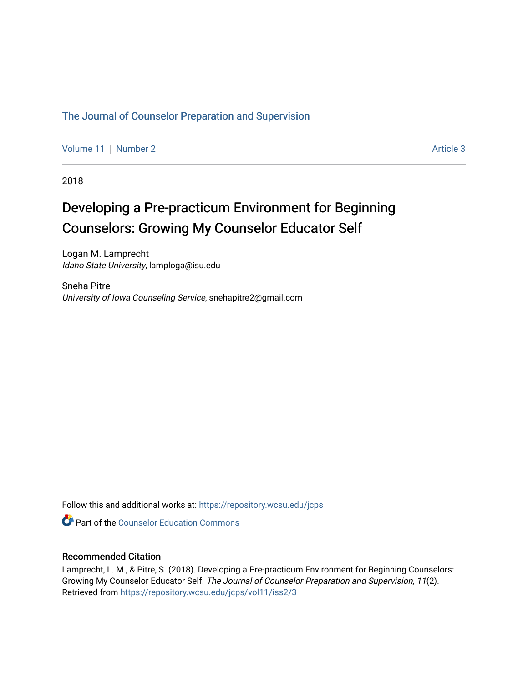#### [The Journal of Counselor Preparation and Supervision](https://repository.wcsu.edu/jcps)

[Volume 11](https://repository.wcsu.edu/jcps/vol11) | [Number 2](https://repository.wcsu.edu/jcps/vol11/iss2) Article 3

2018

## Developing a Pre-practicum Environment for Beginning Counselors: Growing My Counselor Educator Self

Logan M. Lamprecht Idaho State University, lamploga@isu.edu

Sneha Pitre University of Iowa Counseling Service, snehapitre2@gmail.com

Follow this and additional works at: [https://repository.wcsu.edu/jcps](https://repository.wcsu.edu/jcps?utm_source=repository.wcsu.edu%2Fjcps%2Fvol11%2Fiss2%2F3&utm_medium=PDF&utm_campaign=PDFCoverPages) 

**Part of the Counselor Education Commons** 

#### Recommended Citation

Lamprecht, L. M., & Pitre, S. (2018). Developing a Pre-practicum Environment for Beginning Counselors: Growing My Counselor Educator Self. The Journal of Counselor Preparation and Supervision, 11(2). Retrieved from [https://repository.wcsu.edu/jcps/vol11/iss2/3](https://repository.wcsu.edu/jcps/vol11/iss2/3?utm_source=repository.wcsu.edu%2Fjcps%2Fvol11%2Fiss2%2F3&utm_medium=PDF&utm_campaign=PDFCoverPages)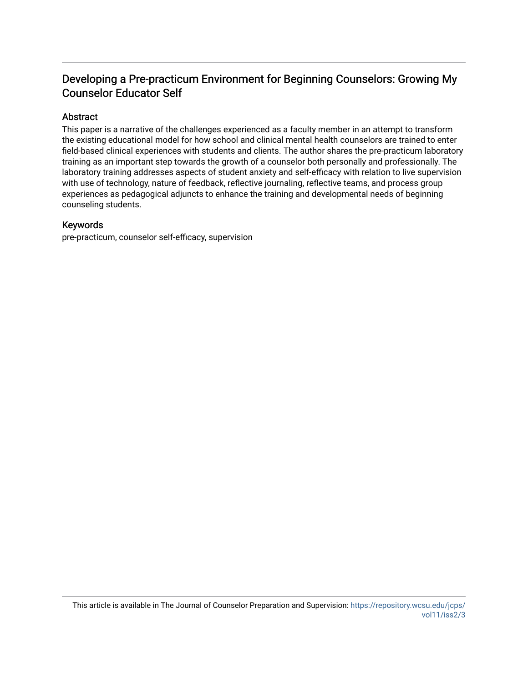### Developing a Pre-practicum Environment for Beginning Counselors: Growing My Counselor Educator Self

#### Abstract

This paper is a narrative of the challenges experienced as a faculty member in an attempt to transform the existing educational model for how school and clinical mental health counselors are trained to enter field-based clinical experiences with students and clients. The author shares the pre-practicum laboratory training as an important step towards the growth of a counselor both personally and professionally. The laboratory training addresses aspects of student anxiety and self-efficacy with relation to live supervision with use of technology, nature of feedback, reflective journaling, reflective teams, and process group experiences as pedagogical adjuncts to enhance the training and developmental needs of beginning counseling students.

#### Keywords

pre-practicum, counselor self-efficacy, supervision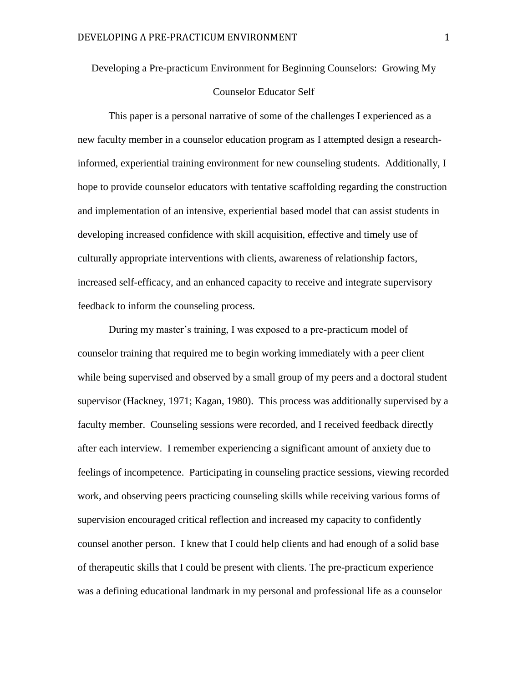# Developing a Pre-practicum Environment for Beginning Counselors: Growing My

#### Counselor Educator Self

This paper is a personal narrative of some of the challenges I experienced as a new faculty member in a counselor education program as I attempted design a researchinformed, experiential training environment for new counseling students. Additionally, I hope to provide counselor educators with tentative scaffolding regarding the construction and implementation of an intensive, experiential based model that can assist students in developing increased confidence with skill acquisition, effective and timely use of culturally appropriate interventions with clients, awareness of relationship factors, increased self-efficacy, and an enhanced capacity to receive and integrate supervisory feedback to inform the counseling process.

During my master's training, I was exposed to a pre-practicum model of counselor training that required me to begin working immediately with a peer client while being supervised and observed by a small group of my peers and a doctoral student supervisor (Hackney, 1971; Kagan, 1980). This process was additionally supervised by a faculty member. Counseling sessions were recorded, and I received feedback directly after each interview. I remember experiencing a significant amount of anxiety due to feelings of incompetence. Participating in counseling practice sessions, viewing recorded work, and observing peers practicing counseling skills while receiving various forms of supervision encouraged critical reflection and increased my capacity to confidently counsel another person. I knew that I could help clients and had enough of a solid base of therapeutic skills that I could be present with clients. The pre-practicum experience was a defining educational landmark in my personal and professional life as a counselor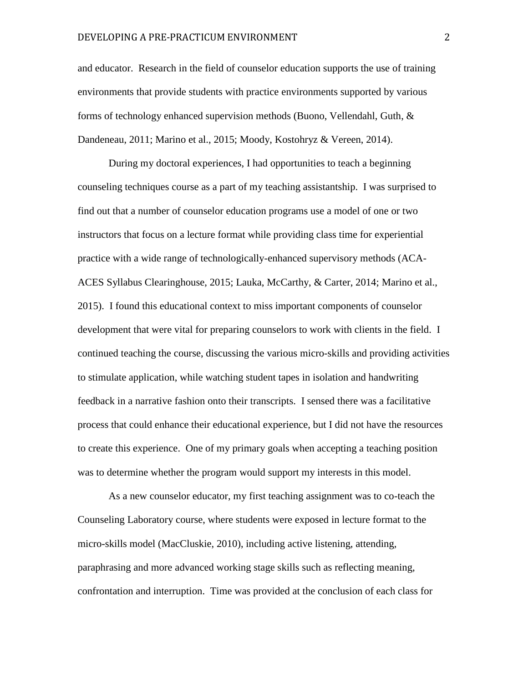and educator. Research in the field of counselor education supports the use of training environments that provide students with practice environments supported by various forms of technology enhanced supervision methods (Buono, Vellendahl, Guth, & Dandeneau, 2011; Marino et al., 2015; Moody, Kostohryz & Vereen, 2014).

During my doctoral experiences, I had opportunities to teach a beginning counseling techniques course as a part of my teaching assistantship. I was surprised to find out that a number of counselor education programs use a model of one or two instructors that focus on a lecture format while providing class time for experiential practice with a wide range of technologically-enhanced supervisory methods (ACA-ACES Syllabus Clearinghouse, 2015; Lauka, McCarthy, & Carter, 2014; Marino et al., 2015). I found this educational context to miss important components of counselor development that were vital for preparing counselors to work with clients in the field. I continued teaching the course, discussing the various micro-skills and providing activities to stimulate application, while watching student tapes in isolation and handwriting feedback in a narrative fashion onto their transcripts. I sensed there was a facilitative process that could enhance their educational experience, but I did not have the resources to create this experience. One of my primary goals when accepting a teaching position was to determine whether the program would support my interests in this model.

As a new counselor educator, my first teaching assignment was to co-teach the Counseling Laboratory course, where students were exposed in lecture format to the micro-skills model (MacCluskie, 2010), including active listening, attending, paraphrasing and more advanced working stage skills such as reflecting meaning, confrontation and interruption. Time was provided at the conclusion of each class for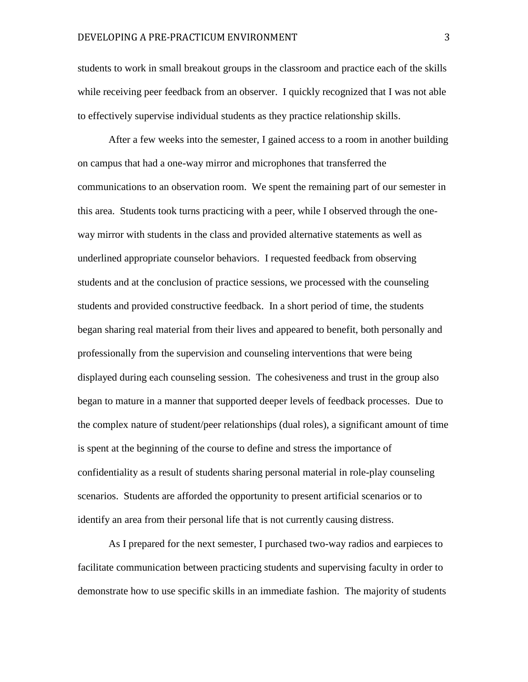students to work in small breakout groups in the classroom and practice each of the skills while receiving peer feedback from an observer. I quickly recognized that I was not able to effectively supervise individual students as they practice relationship skills.

After a few weeks into the semester, I gained access to a room in another building on campus that had a one-way mirror and microphones that transferred the communications to an observation room. We spent the remaining part of our semester in this area. Students took turns practicing with a peer, while I observed through the oneway mirror with students in the class and provided alternative statements as well as underlined appropriate counselor behaviors. I requested feedback from observing students and at the conclusion of practice sessions, we processed with the counseling students and provided constructive feedback. In a short period of time, the students began sharing real material from their lives and appeared to benefit, both personally and professionally from the supervision and counseling interventions that were being displayed during each counseling session. The cohesiveness and trust in the group also began to mature in a manner that supported deeper levels of feedback processes. Due to the complex nature of student/peer relationships (dual roles), a significant amount of time is spent at the beginning of the course to define and stress the importance of confidentiality as a result of students sharing personal material in role-play counseling scenarios. Students are afforded the opportunity to present artificial scenarios or to identify an area from their personal life that is not currently causing distress.

As I prepared for the next semester, I purchased two-way radios and earpieces to facilitate communication between practicing students and supervising faculty in order to demonstrate how to use specific skills in an immediate fashion. The majority of students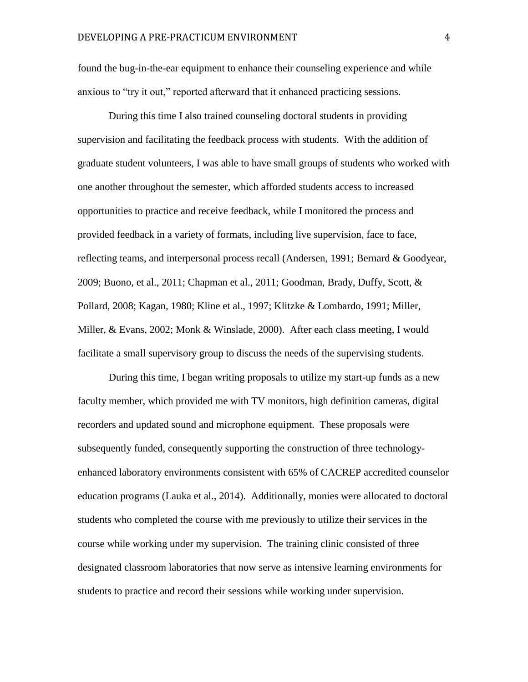found the bug-in-the-ear equipment to enhance their counseling experience and while anxious to "try it out," reported afterward that it enhanced practicing sessions.

During this time I also trained counseling doctoral students in providing supervision and facilitating the feedback process with students. With the addition of graduate student volunteers, I was able to have small groups of students who worked with one another throughout the semester, which afforded students access to increased opportunities to practice and receive feedback, while I monitored the process and provided feedback in a variety of formats, including live supervision, face to face, reflecting teams, and interpersonal process recall (Andersen, 1991; Bernard & Goodyear, 2009; Buono, et al., 2011; Chapman et al., 2011; Goodman, Brady, Duffy, Scott,  $\&$ Pollard, 2008; Kagan, 1980; Kline et al., 1997; Klitzke & Lombardo, 1991; Miller, Miller, & Evans, 2002; Monk & Winslade, 2000). After each class meeting, I would facilitate a small supervisory group to discuss the needs of the supervising students.

During this time, I began writing proposals to utilize my start-up funds as a new faculty member, which provided me with TV monitors, high definition cameras, digital recorders and updated sound and microphone equipment. These proposals were subsequently funded, consequently supporting the construction of three technologyenhanced laboratory environments consistent with 65% of CACREP accredited counselor education programs (Lauka et al., 2014). Additionally, monies were allocated to doctoral students who completed the course with me previously to utilize their services in the course while working under my supervision. The training clinic consisted of three designated classroom laboratories that now serve as intensive learning environments for students to practice and record their sessions while working under supervision.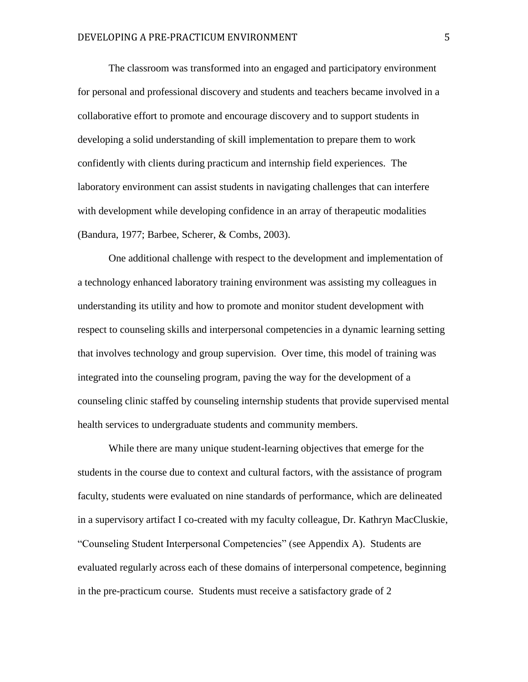The classroom was transformed into an engaged and participatory environment for personal and professional discovery and students and teachers became involved in a collaborative effort to promote and encourage discovery and to support students in developing a solid understanding of skill implementation to prepare them to work confidently with clients during practicum and internship field experiences. The laboratory environment can assist students in navigating challenges that can interfere with development while developing confidence in an array of therapeutic modalities (Bandura, 1977; Barbee, Scherer, & Combs, 2003).

One additional challenge with respect to the development and implementation of a technology enhanced laboratory training environment was assisting my colleagues in understanding its utility and how to promote and monitor student development with respect to counseling skills and interpersonal competencies in a dynamic learning setting that involves technology and group supervision. Over time, this model of training was integrated into the counseling program, paving the way for the development of a counseling clinic staffed by counseling internship students that provide supervised mental health services to undergraduate students and community members.

While there are many unique student-learning objectives that emerge for the students in the course due to context and cultural factors, with the assistance of program faculty, students were evaluated on nine standards of performance, which are delineated in a supervisory artifact I co-created with my faculty colleague, Dr. Kathryn MacCluskie, "Counseling Student Interpersonal Competencies" (see Appendix A). Students are evaluated regularly across each of these domains of interpersonal competence, beginning in the pre-practicum course. Students must receive a satisfactory grade of 2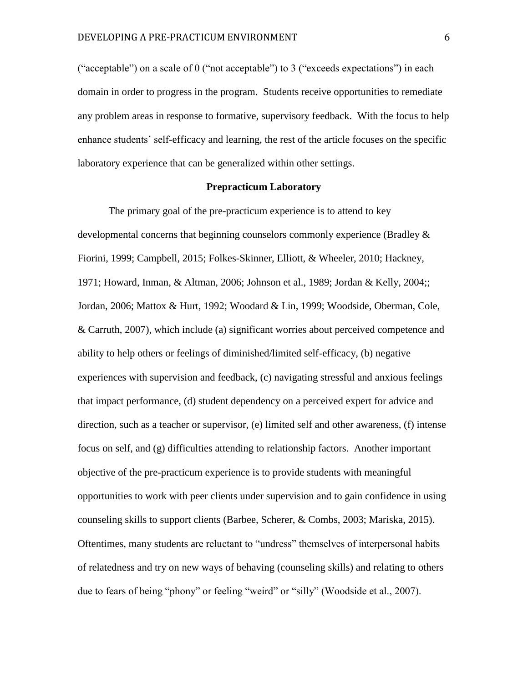("acceptable") on a scale of 0 ("not acceptable") to 3 ("exceeds expectations") in each domain in order to progress in the program. Students receive opportunities to remediate any problem areas in response to formative, supervisory feedback. With the focus to help enhance students' self-efficacy and learning, the rest of the article focuses on the specific laboratory experience that can be generalized within other settings.

#### **Prepracticum Laboratory**

The primary goal of the pre-practicum experience is to attend to key developmental concerns that beginning counselors commonly experience (Bradley & Fiorini, 1999; Campbell, 2015; Folkes-Skinner, Elliott, & Wheeler, 2010; Hackney, 1971; Howard, Inman, & Altman, 2006; Johnson et al., 1989; Jordan & Kelly, 2004;; Jordan, 2006; Mattox & Hurt, 1992; Woodard & Lin, 1999; Woodside, Oberman, Cole, & Carruth, 2007), which include (a) significant worries about perceived competence and ability to help others or feelings of diminished/limited self-efficacy, (b) negative experiences with supervision and feedback, (c) navigating stressful and anxious feelings that impact performance, (d) student dependency on a perceived expert for advice and direction, such as a teacher or supervisor, (e) limited self and other awareness, (f) intense focus on self, and (g) difficulties attending to relationship factors. Another important objective of the pre-practicum experience is to provide students with meaningful opportunities to work with peer clients under supervision and to gain confidence in using counseling skills to support clients (Barbee, Scherer, & Combs, 2003; Mariska, 2015). Oftentimes, many students are reluctant to "undress" themselves of interpersonal habits of relatedness and try on new ways of behaving (counseling skills) and relating to others due to fears of being "phony" or feeling "weird" or "silly" (Woodside et al., 2007).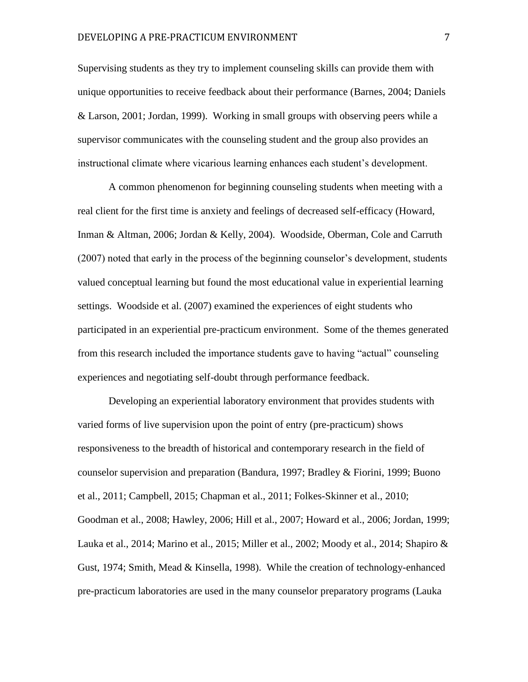Supervising students as they try to implement counseling skills can provide them with unique opportunities to receive feedback about their performance (Barnes, 2004; Daniels & Larson, 2001; Jordan, 1999). Working in small groups with observing peers while a supervisor communicates with the counseling student and the group also provides an instructional climate where vicarious learning enhances each student's development.

A common phenomenon for beginning counseling students when meeting with a real client for the first time is anxiety and feelings of decreased self-efficacy (Howard, Inman & Altman, 2006; Jordan & Kelly, 2004). Woodside, Oberman, Cole and Carruth (2007) noted that early in the process of the beginning counselor's development, students valued conceptual learning but found the most educational value in experiential learning settings. Woodside et al. (2007) examined the experiences of eight students who participated in an experiential pre-practicum environment. Some of the themes generated from this research included the importance students gave to having "actual" counseling experiences and negotiating self-doubt through performance feedback.

Developing an experiential laboratory environment that provides students with varied forms of live supervision upon the point of entry (pre-practicum) shows responsiveness to the breadth of historical and contemporary research in the field of counselor supervision and preparation (Bandura, 1997; Bradley & Fiorini, 1999; Buono et al., 2011; Campbell, 2015; Chapman et al., 2011; Folkes-Skinner et al., 2010; Goodman et al., 2008; Hawley, 2006; Hill et al., 2007; Howard et al., 2006; Jordan, 1999; Lauka et al., 2014; Marino et al., 2015; Miller et al., 2002; Moody et al., 2014; Shapiro & Gust, 1974; Smith, Mead & Kinsella, 1998). While the creation of technology-enhanced pre-practicum laboratories are used in the many counselor preparatory programs (Lauka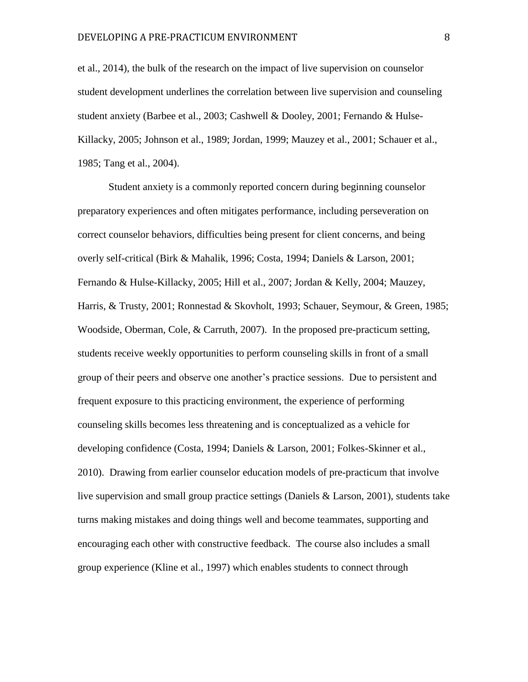et al., 2014), the bulk of the research on the impact of live supervision on counselor student development underlines the correlation between live supervision and counseling student anxiety (Barbee et al., 2003; Cashwell & Dooley, 2001; Fernando & Hulse-Killacky, 2005; Johnson et al., 1989; Jordan, 1999; Mauzey et al., 2001; Schauer et al., 1985; Tang et al., 2004).

Student anxiety is a commonly reported concern during beginning counselor preparatory experiences and often mitigates performance, including perseveration on correct counselor behaviors, difficulties being present for client concerns, and being overly self-critical (Birk & Mahalik, 1996; Costa, 1994; Daniels & Larson, 2001; Fernando & Hulse-Killacky, 2005; Hill et al., 2007; Jordan & Kelly, 2004; Mauzey, Harris, & Trusty, 2001; Ronnestad & Skovholt, 1993; Schauer, Seymour, & Green, 1985; Woodside, Oberman, Cole, & Carruth, 2007). In the proposed pre-practicum setting, students receive weekly opportunities to perform counseling skills in front of a small group of their peers and observe one another's practice sessions. Due to persistent and frequent exposure to this practicing environment, the experience of performing counseling skills becomes less threatening and is conceptualized as a vehicle for developing confidence (Costa, 1994; Daniels & Larson, 2001; Folkes-Skinner et al., 2010). Drawing from earlier counselor education models of pre-practicum that involve live supervision and small group practice settings (Daniels & Larson, 2001), students take turns making mistakes and doing things well and become teammates, supporting and encouraging each other with constructive feedback. The course also includes a small group experience (Kline et al., 1997) which enables students to connect through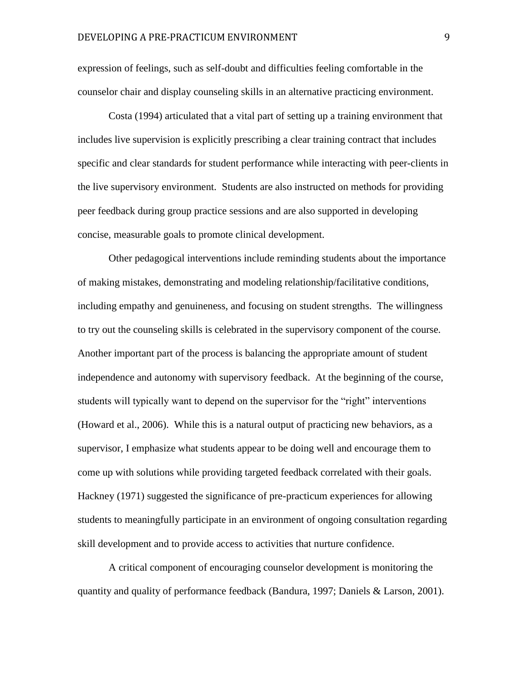expression of feelings, such as self-doubt and difficulties feeling comfortable in the counselor chair and display counseling skills in an alternative practicing environment.

Costa (1994) articulated that a vital part of setting up a training environment that includes live supervision is explicitly prescribing a clear training contract that includes specific and clear standards for student performance while interacting with peer-clients in the live supervisory environment. Students are also instructed on methods for providing peer feedback during group practice sessions and are also supported in developing concise, measurable goals to promote clinical development.

Other pedagogical interventions include reminding students about the importance of making mistakes, demonstrating and modeling relationship/facilitative conditions, including empathy and genuineness, and focusing on student strengths. The willingness to try out the counseling skills is celebrated in the supervisory component of the course. Another important part of the process is balancing the appropriate amount of student independence and autonomy with supervisory feedback. At the beginning of the course, students will typically want to depend on the supervisor for the "right" interventions (Howard et al., 2006). While this is a natural output of practicing new behaviors, as a supervisor, I emphasize what students appear to be doing well and encourage them to come up with solutions while providing targeted feedback correlated with their goals. Hackney (1971) suggested the significance of pre-practicum experiences for allowing students to meaningfully participate in an environment of ongoing consultation regarding skill development and to provide access to activities that nurture confidence.

A critical component of encouraging counselor development is monitoring the quantity and quality of performance feedback (Bandura, 1997; Daniels & Larson, 2001).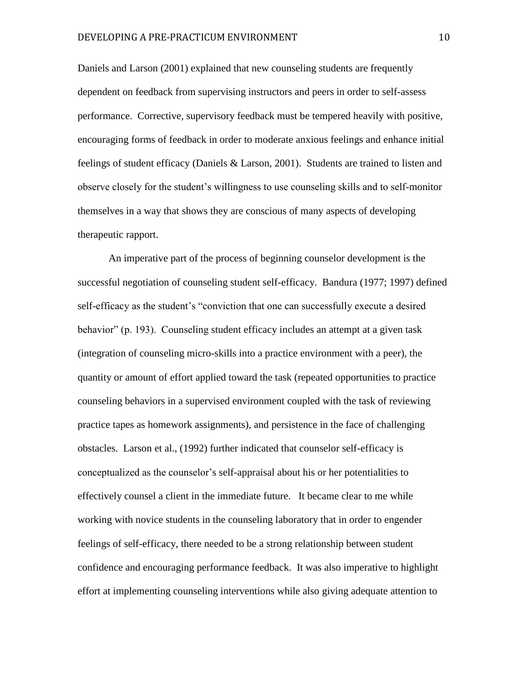Daniels and Larson (2001) explained that new counseling students are frequently dependent on feedback from supervising instructors and peers in order to self-assess performance. Corrective, supervisory feedback must be tempered heavily with positive, encouraging forms of feedback in order to moderate anxious feelings and enhance initial feelings of student efficacy (Daniels & Larson, 2001). Students are trained to listen and observe closely for the student's willingness to use counseling skills and to self-monitor themselves in a way that shows they are conscious of many aspects of developing therapeutic rapport.

An imperative part of the process of beginning counselor development is the successful negotiation of counseling student self-efficacy. Bandura (1977; 1997) defined self-efficacy as the student's "conviction that one can successfully execute a desired behavior" (p. 193). Counseling student efficacy includes an attempt at a given task (integration of counseling micro-skills into a practice environment with a peer), the quantity or amount of effort applied toward the task (repeated opportunities to practice counseling behaviors in a supervised environment coupled with the task of reviewing practice tapes as homework assignments), and persistence in the face of challenging obstacles. Larson et al., (1992) further indicated that counselor self-efficacy is conceptualized as the counselor's self-appraisal about his or her potentialities to effectively counsel a client in the immediate future. It became clear to me while working with novice students in the counseling laboratory that in order to engender feelings of self-efficacy, there needed to be a strong relationship between student confidence and encouraging performance feedback. It was also imperative to highlight effort at implementing counseling interventions while also giving adequate attention to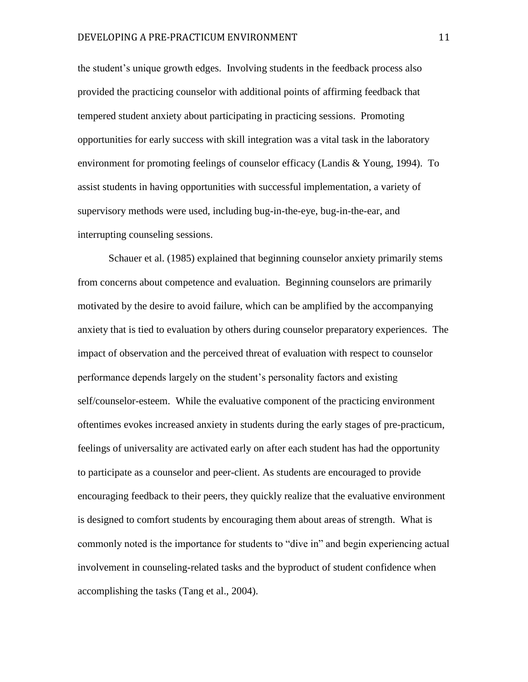the student's unique growth edges. Involving students in the feedback process also provided the practicing counselor with additional points of affirming feedback that tempered student anxiety about participating in practicing sessions. Promoting opportunities for early success with skill integration was a vital task in the laboratory environment for promoting feelings of counselor efficacy (Landis & Young, 1994). To assist students in having opportunities with successful implementation, a variety of supervisory methods were used, including bug-in-the-eye, bug-in-the-ear, and interrupting counseling sessions.

Schauer et al. (1985) explained that beginning counselor anxiety primarily stems from concerns about competence and evaluation. Beginning counselors are primarily motivated by the desire to avoid failure, which can be amplified by the accompanying anxiety that is tied to evaluation by others during counselor preparatory experiences. The impact of observation and the perceived threat of evaluation with respect to counselor performance depends largely on the student's personality factors and existing self/counselor-esteem. While the evaluative component of the practicing environment oftentimes evokes increased anxiety in students during the early stages of pre-practicum, feelings of universality are activated early on after each student has had the opportunity to participate as a counselor and peer-client. As students are encouraged to provide encouraging feedback to their peers, they quickly realize that the evaluative environment is designed to comfort students by encouraging them about areas of strength. What is commonly noted is the importance for students to "dive in" and begin experiencing actual involvement in counseling-related tasks and the byproduct of student confidence when accomplishing the tasks (Tang et al., 2004).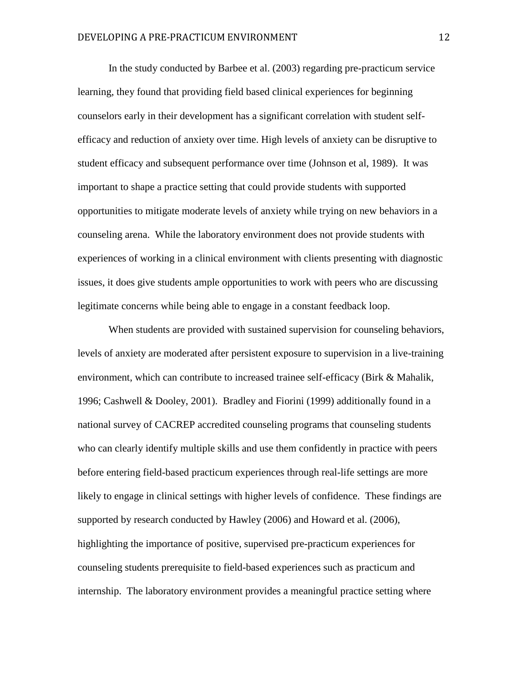In the study conducted by Barbee et al. (2003) regarding pre-practicum service learning, they found that providing field based clinical experiences for beginning counselors early in their development has a significant correlation with student selfefficacy and reduction of anxiety over time. High levels of anxiety can be disruptive to student efficacy and subsequent performance over time (Johnson et al, 1989). It was important to shape a practice setting that could provide students with supported opportunities to mitigate moderate levels of anxiety while trying on new behaviors in a counseling arena. While the laboratory environment does not provide students with experiences of working in a clinical environment with clients presenting with diagnostic issues, it does give students ample opportunities to work with peers who are discussing legitimate concerns while being able to engage in a constant feedback loop.

When students are provided with sustained supervision for counseling behaviors, levels of anxiety are moderated after persistent exposure to supervision in a live-training environment, which can contribute to increased trainee self-efficacy (Birk & Mahalik, 1996; Cashwell & Dooley, 2001). Bradley and Fiorini (1999) additionally found in a national survey of CACREP accredited counseling programs that counseling students who can clearly identify multiple skills and use them confidently in practice with peers before entering field-based practicum experiences through real-life settings are more likely to engage in clinical settings with higher levels of confidence. These findings are supported by research conducted by Hawley (2006) and Howard et al. (2006), highlighting the importance of positive, supervised pre-practicum experiences for counseling students prerequisite to field-based experiences such as practicum and internship. The laboratory environment provides a meaningful practice setting where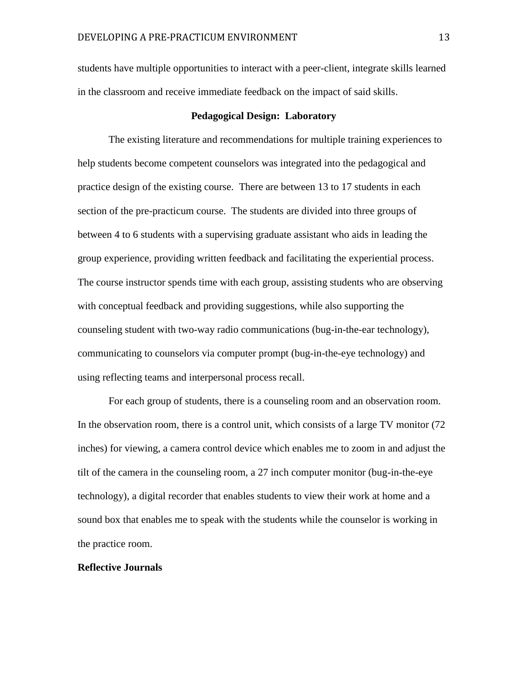students have multiple opportunities to interact with a peer-client, integrate skills learned in the classroom and receive immediate feedback on the impact of said skills.

#### **Pedagogical Design: Laboratory**

The existing literature and recommendations for multiple training experiences to help students become competent counselors was integrated into the pedagogical and practice design of the existing course. There are between 13 to 17 students in each section of the pre-practicum course. The students are divided into three groups of between 4 to 6 students with a supervising graduate assistant who aids in leading the group experience, providing written feedback and facilitating the experiential process. The course instructor spends time with each group, assisting students who are observing with conceptual feedback and providing suggestions, while also supporting the counseling student with two-way radio communications (bug-in-the-ear technology), communicating to counselors via computer prompt (bug-in-the-eye technology) and using reflecting teams and interpersonal process recall.

For each group of students, there is a counseling room and an observation room. In the observation room, there is a control unit, which consists of a large TV monitor (72 inches) for viewing, a camera control device which enables me to zoom in and adjust the tilt of the camera in the counseling room, a 27 inch computer monitor (bug-in-the-eye technology), a digital recorder that enables students to view their work at home and a sound box that enables me to speak with the students while the counselor is working in the practice room.

#### **Reflective Journals**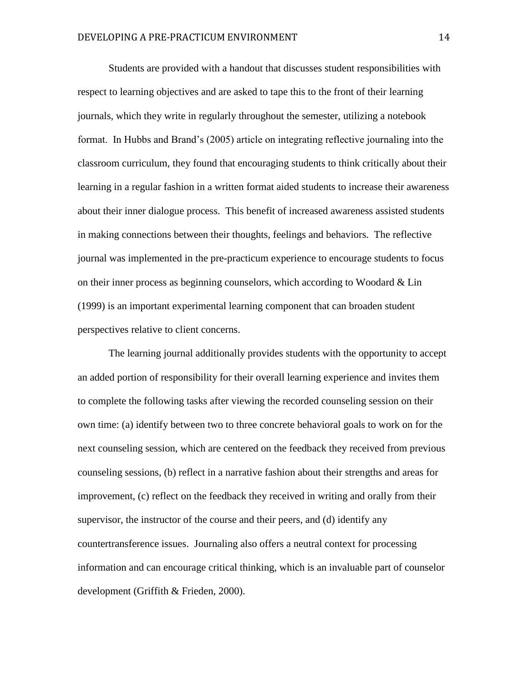Students are provided with a handout that discusses student responsibilities with respect to learning objectives and are asked to tape this to the front of their learning journals, which they write in regularly throughout the semester, utilizing a notebook format. In Hubbs and Brand's (2005) article on integrating reflective journaling into the classroom curriculum, they found that encouraging students to think critically about their learning in a regular fashion in a written format aided students to increase their awareness about their inner dialogue process. This benefit of increased awareness assisted students in making connections between their thoughts, feelings and behaviors. The reflective journal was implemented in the pre-practicum experience to encourage students to focus on their inner process as beginning counselors, which according to Woodard & Lin (1999) is an important experimental learning component that can broaden student perspectives relative to client concerns.

The learning journal additionally provides students with the opportunity to accept an added portion of responsibility for their overall learning experience and invites them to complete the following tasks after viewing the recorded counseling session on their own time: (a) identify between two to three concrete behavioral goals to work on for the next counseling session, which are centered on the feedback they received from previous counseling sessions, (b) reflect in a narrative fashion about their strengths and areas for improvement, (c) reflect on the feedback they received in writing and orally from their supervisor, the instructor of the course and their peers, and (d) identify any countertransference issues. Journaling also offers a neutral context for processing information and can encourage critical thinking, which is an invaluable part of counselor development (Griffith & Frieden, 2000).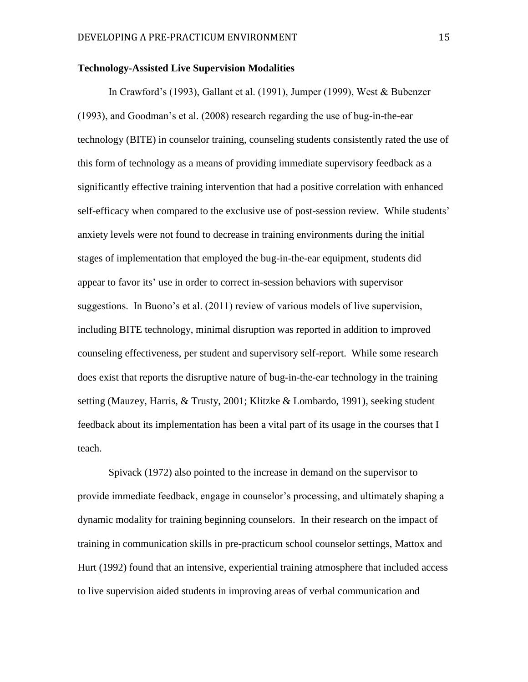#### **Technology-Assisted Live Supervision Modalities**

In Crawford's (1993), Gallant et al. (1991), Jumper (1999), West & Bubenzer (1993), and Goodman's et al. (2008) research regarding the use of bug-in-the-ear technology (BITE) in counselor training, counseling students consistently rated the use of this form of technology as a means of providing immediate supervisory feedback as a significantly effective training intervention that had a positive correlation with enhanced self-efficacy when compared to the exclusive use of post-session review. While students' anxiety levels were not found to decrease in training environments during the initial stages of implementation that employed the bug-in-the-ear equipment, students did appear to favor its' use in order to correct in-session behaviors with supervisor suggestions. In Buono's et al. (2011) review of various models of live supervision, including BITE technology, minimal disruption was reported in addition to improved counseling effectiveness, per student and supervisory self-report. While some research does exist that reports the disruptive nature of bug-in-the-ear technology in the training setting (Mauzey, Harris, & Trusty, 2001; Klitzke & Lombardo, 1991), seeking student feedback about its implementation has been a vital part of its usage in the courses that I teach.

Spivack (1972) also pointed to the increase in demand on the supervisor to provide immediate feedback, engage in counselor's processing, and ultimately shaping a dynamic modality for training beginning counselors. In their research on the impact of training in communication skills in pre-practicum school counselor settings, Mattox and Hurt (1992) found that an intensive, experiential training atmosphere that included access to live supervision aided students in improving areas of verbal communication and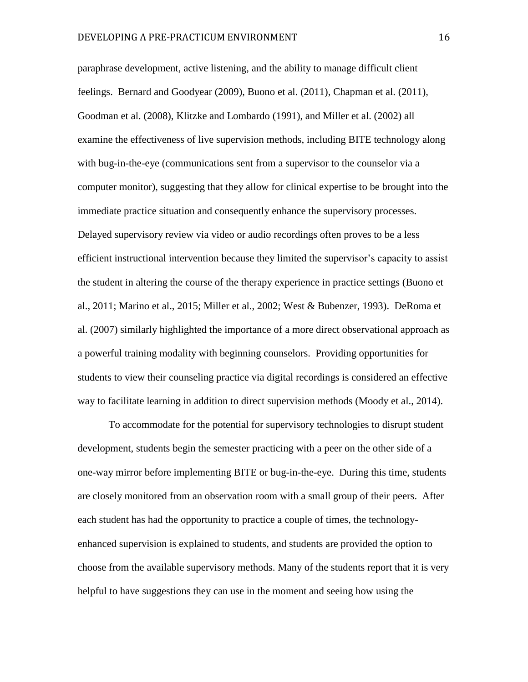paraphrase development, active listening, and the ability to manage difficult client feelings. Bernard and Goodyear (2009), Buono et al. (2011), Chapman et al. (2011), Goodman et al. (2008), Klitzke and Lombardo (1991), and Miller et al. (2002) all examine the effectiveness of live supervision methods, including BITE technology along with bug-in-the-eye (communications sent from a supervisor to the counselor via a computer monitor), suggesting that they allow for clinical expertise to be brought into the immediate practice situation and consequently enhance the supervisory processes. Delayed supervisory review via video or audio recordings often proves to be a less efficient instructional intervention because they limited the supervisor's capacity to assist the student in altering the course of the therapy experience in practice settings (Buono et al., 2011; Marino et al., 2015; Miller et al., 2002; West & Bubenzer, 1993). DeRoma et al. (2007) similarly highlighted the importance of a more direct observational approach as a powerful training modality with beginning counselors. Providing opportunities for students to view their counseling practice via digital recordings is considered an effective way to facilitate learning in addition to direct supervision methods (Moody et al., 2014).

To accommodate for the potential for supervisory technologies to disrupt student development, students begin the semester practicing with a peer on the other side of a one-way mirror before implementing BITE or bug-in-the-eye. During this time, students are closely monitored from an observation room with a small group of their peers. After each student has had the opportunity to practice a couple of times, the technologyenhanced supervision is explained to students, and students are provided the option to choose from the available supervisory methods. Many of the students report that it is very helpful to have suggestions they can use in the moment and seeing how using the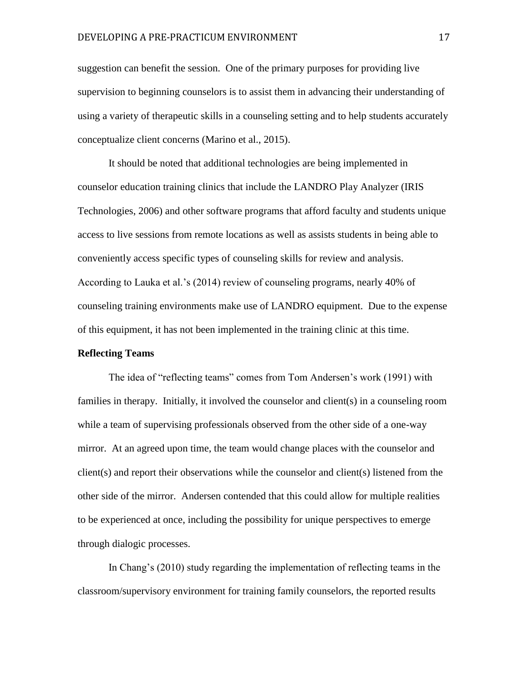suggestion can benefit the session. One of the primary purposes for providing live supervision to beginning counselors is to assist them in advancing their understanding of using a variety of therapeutic skills in a counseling setting and to help students accurately conceptualize client concerns (Marino et al., 2015).

It should be noted that additional technologies are being implemented in counselor education training clinics that include the LANDRO Play Analyzer (IRIS Technologies, 2006) and other software programs that afford faculty and students unique access to live sessions from remote locations as well as assists students in being able to conveniently access specific types of counseling skills for review and analysis. According to Lauka et al.'s (2014) review of counseling programs, nearly 40% of counseling training environments make use of LANDRO equipment. Due to the expense of this equipment, it has not been implemented in the training clinic at this time.

#### **Reflecting Teams**

The idea of "reflecting teams" comes from Tom Andersen's work (1991) with families in therapy. Initially, it involved the counselor and client(s) in a counseling room while a team of supervising professionals observed from the other side of a one-way mirror. At an agreed upon time, the team would change places with the counselor and client(s) and report their observations while the counselor and client(s) listened from the other side of the mirror. Andersen contended that this could allow for multiple realities to be experienced at once, including the possibility for unique perspectives to emerge through dialogic processes.

In Chang's (2010) study regarding the implementation of reflecting teams in the classroom/supervisory environment for training family counselors, the reported results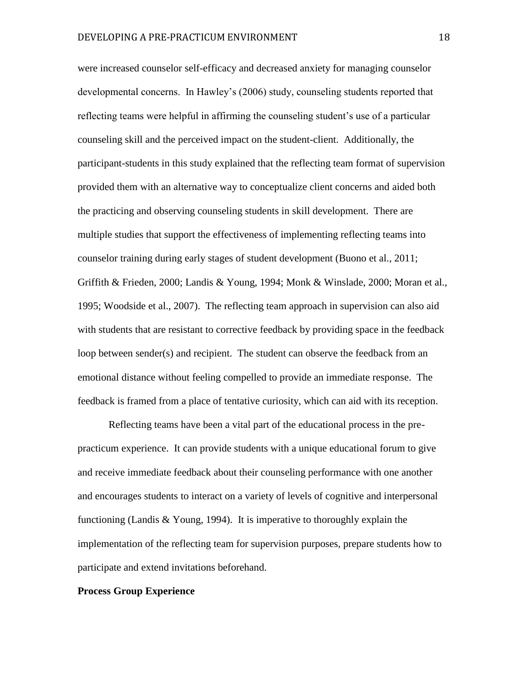were increased counselor self-efficacy and decreased anxiety for managing counselor developmental concerns. In Hawley's (2006) study, counseling students reported that reflecting teams were helpful in affirming the counseling student's use of a particular counseling skill and the perceived impact on the student-client. Additionally, the participant-students in this study explained that the reflecting team format of supervision provided them with an alternative way to conceptualize client concerns and aided both the practicing and observing counseling students in skill development. There are multiple studies that support the effectiveness of implementing reflecting teams into counselor training during early stages of student development (Buono et al., 2011; Griffith & Frieden, 2000; Landis & Young, 1994; Monk & Winslade, 2000; Moran et al., 1995; Woodside et al., 2007). The reflecting team approach in supervision can also aid with students that are resistant to corrective feedback by providing space in the feedback loop between sender(s) and recipient. The student can observe the feedback from an emotional distance without feeling compelled to provide an immediate response. The feedback is framed from a place of tentative curiosity, which can aid with its reception.

Reflecting teams have been a vital part of the educational process in the prepracticum experience. It can provide students with a unique educational forum to give and receive immediate feedback about their counseling performance with one another and encourages students to interact on a variety of levels of cognitive and interpersonal functioning (Landis & Young, 1994). It is imperative to thoroughly explain the implementation of the reflecting team for supervision purposes, prepare students how to participate and extend invitations beforehand.

#### **Process Group Experience**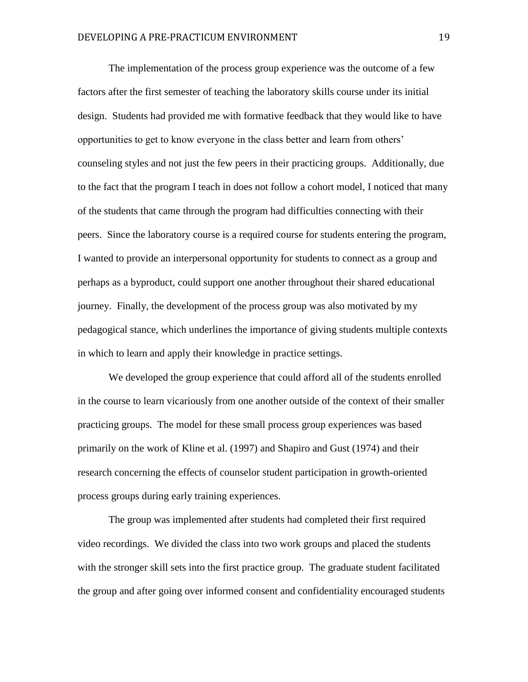The implementation of the process group experience was the outcome of a few factors after the first semester of teaching the laboratory skills course under its initial design. Students had provided me with formative feedback that they would like to have opportunities to get to know everyone in the class better and learn from others' counseling styles and not just the few peers in their practicing groups. Additionally, due to the fact that the program I teach in does not follow a cohort model, I noticed that many of the students that came through the program had difficulties connecting with their peers. Since the laboratory course is a required course for students entering the program, I wanted to provide an interpersonal opportunity for students to connect as a group and perhaps as a byproduct, could support one another throughout their shared educational journey. Finally, the development of the process group was also motivated by my pedagogical stance, which underlines the importance of giving students multiple contexts in which to learn and apply their knowledge in practice settings.

We developed the group experience that could afford all of the students enrolled in the course to learn vicariously from one another outside of the context of their smaller practicing groups. The model for these small process group experiences was based primarily on the work of Kline et al. (1997) and Shapiro and Gust (1974) and their research concerning the effects of counselor student participation in growth-oriented process groups during early training experiences.

The group was implemented after students had completed their first required video recordings. We divided the class into two work groups and placed the students with the stronger skill sets into the first practice group. The graduate student facilitated the group and after going over informed consent and confidentiality encouraged students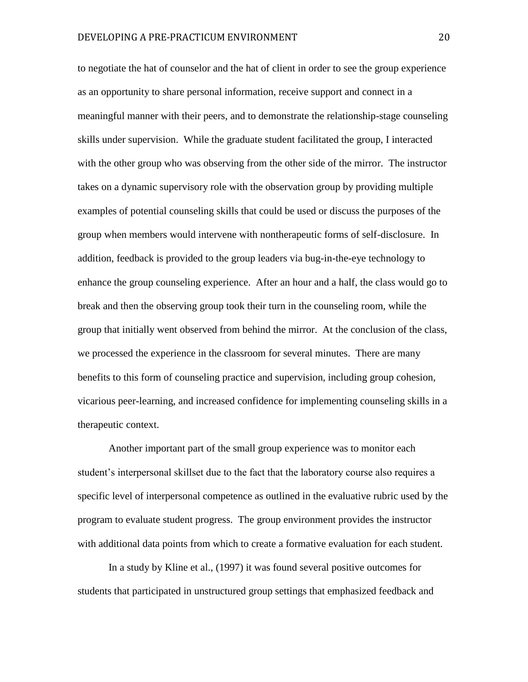to negotiate the hat of counselor and the hat of client in order to see the group experience as an opportunity to share personal information, receive support and connect in a meaningful manner with their peers, and to demonstrate the relationship-stage counseling skills under supervision. While the graduate student facilitated the group, I interacted with the other group who was observing from the other side of the mirror. The instructor takes on a dynamic supervisory role with the observation group by providing multiple examples of potential counseling skills that could be used or discuss the purposes of the group when members would intervene with nontherapeutic forms of self-disclosure. In addition, feedback is provided to the group leaders via bug-in-the-eye technology to enhance the group counseling experience. After an hour and a half, the class would go to break and then the observing group took their turn in the counseling room, while the group that initially went observed from behind the mirror. At the conclusion of the class, we processed the experience in the classroom for several minutes. There are many benefits to this form of counseling practice and supervision, including group cohesion, vicarious peer-learning, and increased confidence for implementing counseling skills in a therapeutic context.

Another important part of the small group experience was to monitor each student's interpersonal skillset due to the fact that the laboratory course also requires a specific level of interpersonal competence as outlined in the evaluative rubric used by the program to evaluate student progress. The group environment provides the instructor with additional data points from which to create a formative evaluation for each student.

In a study by Kline et al., (1997) it was found several positive outcomes for students that participated in unstructured group settings that emphasized feedback and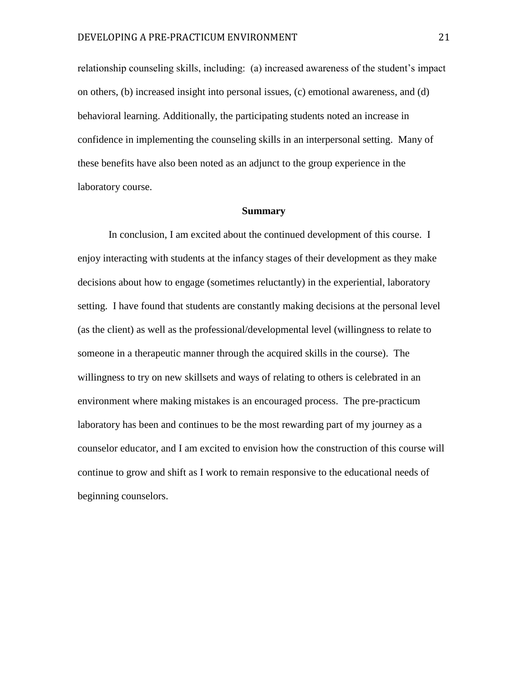relationship counseling skills, including: (a) increased awareness of the student's impact on others, (b) increased insight into personal issues, (c) emotional awareness, and (d) behavioral learning. Additionally, the participating students noted an increase in confidence in implementing the counseling skills in an interpersonal setting. Many of these benefits have also been noted as an adjunct to the group experience in the laboratory course.

#### **Summary**

In conclusion, I am excited about the continued development of this course. I enjoy interacting with students at the infancy stages of their development as they make decisions about how to engage (sometimes reluctantly) in the experiential, laboratory setting. I have found that students are constantly making decisions at the personal level (as the client) as well as the professional/developmental level (willingness to relate to someone in a therapeutic manner through the acquired skills in the course). The willingness to try on new skillsets and ways of relating to others is celebrated in an environment where making mistakes is an encouraged process. The pre-practicum laboratory has been and continues to be the most rewarding part of my journey as a counselor educator, and I am excited to envision how the construction of this course will continue to grow and shift as I work to remain responsive to the educational needs of beginning counselors.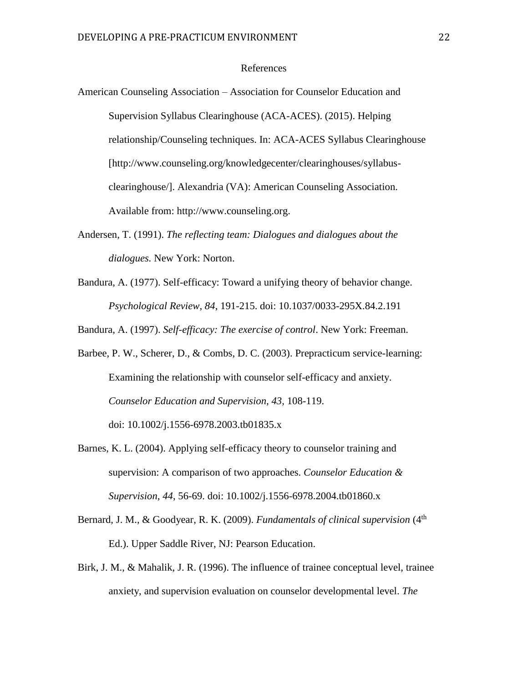#### References

American Counseling Association – Association for Counselor Education and Supervision Syllabus Clearinghouse (ACA-ACES). (2015). Helping relationship/Counseling techniques. In: ACA-ACES Syllabus Clearinghouse [http://www.counseling.org/knowledgecenter/clearinghouses/syllabusclearinghouse/]. Alexandria (VA): American Counseling Association. Available from: http://www.counseling.org.

- Andersen, T. (1991). *The reflecting team: Dialogues and dialogues about the dialogues.* New York: Norton.
- Bandura, A. (1977). Self-efficacy: Toward a unifying theory of behavior change. *Psychological Review, 84*, 191-215. [doi: 10.1037/0033-295X.84.2.191](https://doi.org/10.1037/0033-295X.84.2.191)

Bandura, A. (1997). *Self-efficacy: The exercise of control*. New York: Freeman.

- Barbee, P. W., Scherer, D., & Combs, D. C. (2003). Prepracticum service-learning: Examining the relationship with counselor self-efficacy and anxiety. *Counselor Education and Supervision, 43*, 108-119. [doi: 10.1002/j.1556-6978.2003.tb01835.x](https://doi.org/10.1002/j.1556-6978.2003.tb01835.x)
- Barnes, K. L. (2004). Applying self-efficacy theory to counselor training and supervision: A comparison of two approaches. *Counselor Education & Supervision, 44*, 56-69. [doi: 10.1002/j.1556-6978.2004.tb01860.x](https://doi.org/10.1002/j.1556-6978.2004.tb01860.x)
- Bernard, J. M., & Goodyear, R. K. (2009). *Fundamentals of clinical supervision* (4<sup>th</sup>) Ed.). Upper Saddle River, NJ: Pearson Education.
- Birk, J. M., & Mahalik, J. R. (1996). The influence of trainee conceptual level, trainee anxiety, and supervision evaluation on counselor developmental level. *The*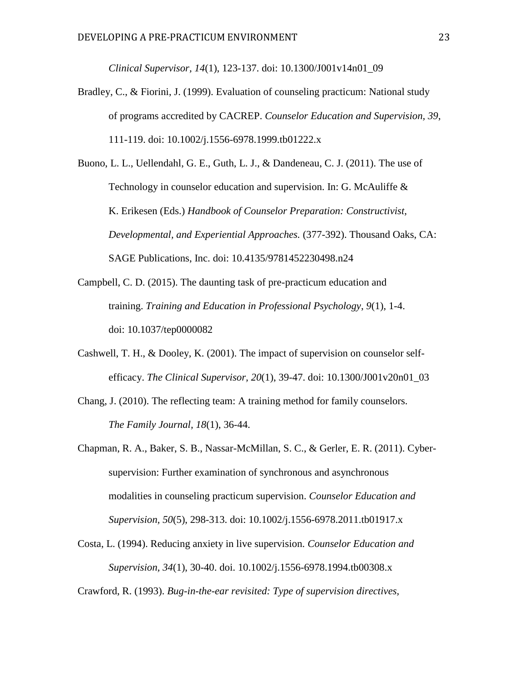*Clinical Supervisor, 14*(1), 123-137. [doi: 10.1300/J001v14n01\\_09](https://doi.org/10.1300/J001v14n01_09)

Bradley, C., & Fiorini, J. (1999). Evaluation of counseling practicum: National study of programs accredited by CACREP. *Counselor Education and Supervision, 39*, 111-119. [doi: 10.1002/j.1556-6978.1999.tb01222.x](https://doi.org/10.1002/j.1556-6978.1999.tb01222.x)

Buono, L. L., Uellendahl, G. E., Guth, L. J., & Dandeneau, C. J. (2011). The use of Technology in counselor education and supervision. In: G. McAuliffe & K. Erikesen (Eds.) *Handbook of Counselor Preparation: Constructivist, Developmental, and Experiential Approaches.* (377-392). Thousand Oaks, CA: SAGE Publications, Inc. [doi: 10.4135/9781452230498.n24](https://doi.org/10.4135/9781452230498.n24)

- Campbell, C. D. (2015). The daunting task of pre-practicum education and training. *Training and Education in Professional Psychology*, *9*(1), 1-4. [doi: 10.1037/tep0000082](https://doi.org/10.1037/tep0000082)
- Cashwell, T. H., & Dooley, K. (2001). The impact of supervision on counselor selfefficacy. *The Clinical Supervisor, 20*(1), 39-47. [doi: 10.1300/J001v20n01\\_03](https://doi.org/10.1300/J001v20n01_03)
- Chang, J. (2010). The reflecting team: A training method for family counselors. *The Family Journal, 18*(1), 36-44.

Chapman, R. A., Baker, S. B., Nassar-McMillan, S. C., & Gerler, E. R. (2011). Cybersupervision: Further examination of synchronous and asynchronous modalities in counseling practicum supervision. *Counselor Education and Supervision, 50*(5), 298-313. doi: [10.1002/j.1556-6978.2011.tb01917.x](https://doi.org/10.1002/j.1556-6978.2011.tb01917.x)

Costa, L. (1994). Reducing anxiety in live supervision. *Counselor Education and Supervision, 34*(1), 30-40. [doi. 10.1002/j.1556-6978.1994.tb00308.x](https://doi.org/10.1002/j.1556-6978.1994.tb00308.x)

Crawford, R. (1993). *Bug-in-the-ear revisited: Type of supervision directives,*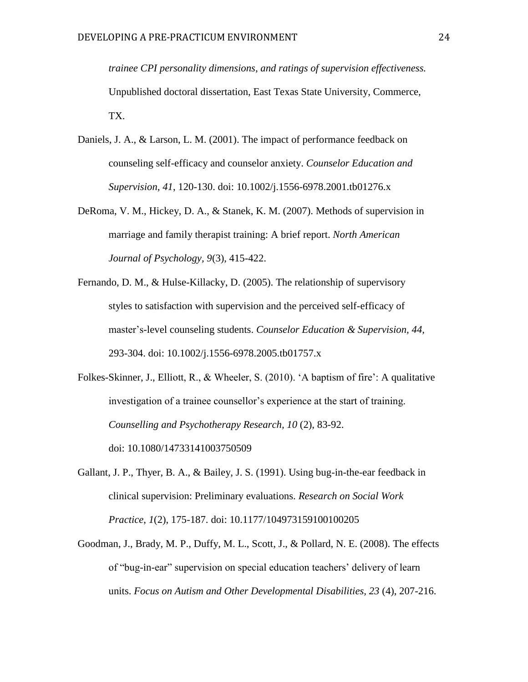*trainee CPI personality dimensions, and ratings of supervision effectiveness.* Unpublished doctoral dissertation, East Texas State University, Commerce, TX.

- Daniels, J. A., & Larson, L. M. (2001). The impact of performance feedback on counseling self-efficacy and counselor anxiety. *Counselor Education and Supervision, 41*, 120-130. [doi: 10.1002/j.1556-6978.2001.tb01276.x](https://doi.org/10.1002/j.1556-6978.2001.tb01276.x)
- DeRoma, V. M., Hickey, D. A., & Stanek, K. M. (2007). Methods of supervision in marriage and family therapist training: A brief report. *North American Journal of Psychology, 9*(3), 415-422.
- Fernando, D. M., & Hulse-Killacky, D. (2005). The relationship of supervisory styles to satisfaction with supervision and the perceived self-efficacy of master's-level counseling students. *Counselor Education & Supervision, 44,* 293-304. [doi: 10.1002/j.1556-6978.2005.tb01757.x](https://doi.org/10.1002/j.1556-6978.2005.tb01757.x)
- Folkes-Skinner, J., Elliott, R., & Wheeler, S. (2010). 'A baptism of fire': A qualitative investigation of a trainee counsellor's experience at the start of training. *Counselling and Psychotherapy Research, 10* (2), 83-92. [doi: 10.1080/14733141003750509](https://doi.org/10.1080/14733141003750509)
- Gallant, J. P., Thyer, B. A., & Bailey, J. S. (1991). Using bug-in-the-ear feedback in clinical supervision: Preliminary evaluations. *Research on Social Work Practice*, *1*(2), 175-187. [doi: 10.1177/104973159100100205](https://doi.org/10.1177/104973159100100205)
- Goodman, J., Brady, M. P., Duffy, M. L., Scott, J., & Pollard, N. E. (2008). The effects of "bug-in-ear" supervision on special education teachers' delivery of learn units. *Focus on Autism and Other Developmental Disabilities, 23* (4), 207-216.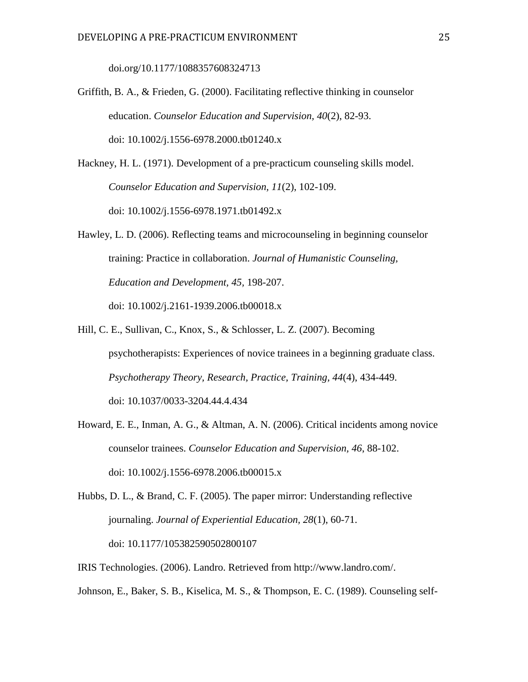[doi.org/10.1177/1088357608324713](https://doi.org/10.1177/1088357608324713)

- Griffith, B. A., & Frieden, G. (2000). Facilitating reflective thinking in counselor education. *Counselor Education and Supervision, 40*(2), 82-93. [doi: 10.1002/j.1556-6978.2000.tb01240.x](https://doi.org/10.1002/j.1556-6978.2000.tb01240.x)
- Hackney, H. L. (1971). Development of a pre-practicum counseling skills model. *Counselor Education and Supervision, 11*(2), 102-109. [doi: 10.1002/j.1556-6978.1971.tb01492.x](https://doi.org/10.1002/j.1556-6978.1971.tb01492.x)
- Hawley, L. D. (2006). Reflecting teams and microcounseling in beginning counselor training: Practice in collaboration. *Journal of Humanistic Counseling, Education and Development, 45,* 198-207. [doi: 10.1002/j.2161-1939.2006.tb00018.x](https://doi.org/10.1002/j.2161-1939.2006.tb00018.x)
- Hill, C. E., Sullivan, C., Knox, S., & Schlosser, L. Z. (2007). Becoming psychotherapists: Experiences of novice trainees in a beginning graduate class. *Psychotherapy Theory, Research, Practice, Training, 44*(4), 434-449. [doi: 10.1037/0033-3204.44.4.434](https://doi.org/10.1037/0033-3204.44.4.434)
- Howard, E. E., Inman, A. G., & Altman, A. N. (2006). Critical incidents among novice counselor trainees. *Counselor Education and Supervision, 46*, 88-102. [doi: 10.1002/j.1556-6978.2006.tb00015.x](https://doi.org/10.1002/j.1556-6978.2006.tb00015.x)
- Hubbs, D. L., & Brand, C. F. (2005). The paper mirror: Understanding reflective journaling. *Journal of Experiential Education, 28*(1), 60-71. [doi: 10.1177/105382590502800107](https://doi.org/10.1177/105382590502800107)
- IRIS Technologies. (2006). Landro. Retrieved from http://www.landro.com/.
- Johnson, E., Baker, S. B., Kiselica, M. S., & Thompson, E. C. (1989). Counseling self-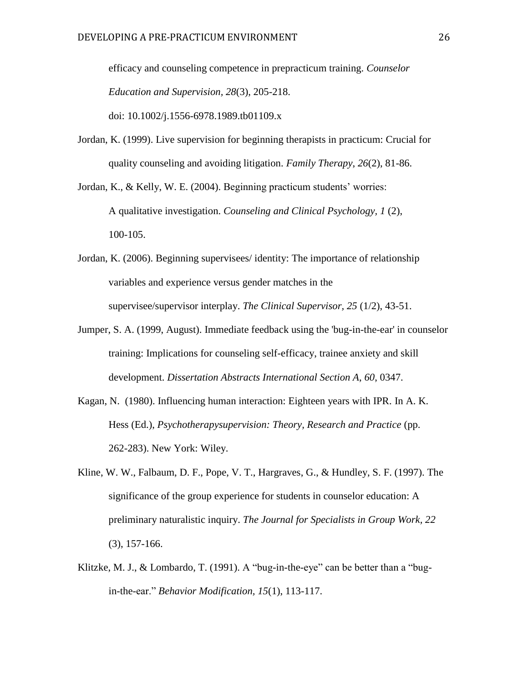efficacy and counseling competence in prepracticum training. *Counselor Education and Supervision, 28*(3), 205-218. [doi: 10.1002/j.1556-6978.1989.tb01109.x](https://doi.org/10.1002/j.1556-6978.1989.tb01109.x)

Jordan, K. (1999). Live supervision for beginning therapists in practicum: Crucial for quality counseling and avoiding litigation. *Family Therapy*, *26*(2), 81-86.

Jordan, K., & Kelly, W. E. (2004). Beginning practicum students' worries: A qualitative investigation. *Counseling and Clinical Psychology, 1* (2), 100-105.

- Jordan, K. (2006). Beginning supervisees/ identity: The importance of relationship variables and experience versus gender matches in the supervisee/supervisor interplay. *The Clinical Supervisor, 25* (1/2), 43-51.
- Jumper, S. A. (1999, August). Immediate feedback using the 'bug-in-the-ear' in counselor training: Implications for counseling self-efficacy, trainee anxiety and skill development. *Dissertation Abstracts International Section A*, *60*, 0347.
- Kagan, N. (1980). Influencing human interaction: Eighteen years with IPR. In A. K. Hess (Ed.), *Psychotherapysupervision: Theory, Research and Practice* (pp. 262-283). New York: Wiley.
- Kline, W. W., Falbaum, D. F., Pope, V. T., Hargraves, G., & Hundley, S. F. (1997). The significance of the group experience for students in counselor education: A preliminary naturalistic inquiry. *The Journal for Specialists in Group Work, 22* (3), 157-166.
- Klitzke, M. J., & Lombardo, T. (1991). A "bug-in-the-eye" can be better than a "bugin-the-ear." *Behavior Modification, 15*(1), 113-117.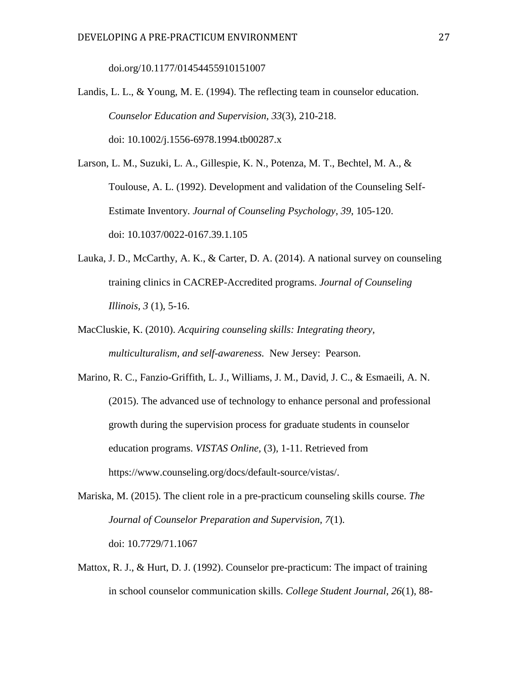doi.org/10.1177/01454455910151007

Landis, L. L., & Young, M. E. (1994). The reflecting team in counselor education. *Counselor Education and Supervision, 33*(3), 210-218. [doi: 10.1002/j.1556-6978.1994.tb00287.x](https://doi.org/10.1002/j.1556-6978.1994.tb00287.x)

Larson, L. M., Suzuki, L. A., Gillespie, K. N., Potenza, M. T., Bechtel, M. A., & Toulouse, A. L. (1992). Development and validation of the Counseling Self-Estimate Inventory. *Journal of Counseling Psychology, 39*, 105-120. [doi: 10.1037/0022-0167.39.1.105](https://doi.org/10.1037/0022-0167.39.1.105)

- Lauka, J. D., McCarthy, A. K., & Carter, D. A. (2014). A national survey on counseling training clinics in CACREP-Accredited programs. *Journal of Counseling Illinois, 3* (1), 5-16.
- MacCluskie, K. (2010). *Acquiring counseling skills: Integrating theory, multiculturalism, and self-awareness.* New Jersey: Pearson.

Marino, R. C., Fanzio-Griffith, L. J., Williams, J. M., David, J. C., & Esmaeili, A. N. (2015). The advanced use of technology to enhance personal and professional growth during the supervision process for graduate students in counselor education programs. *VISTAS Online,* (3)*,* 1-11. Retrieved from [https://www.counseling.org/docs/default-source/vistas/.](https://www.counseling.org/docs/default-source/vistas/)

Mariska, M. (2015). The client role in a pre-practicum counseling skills course. *The Journal of Counselor Preparation and Supervision, 7*(1). [doi: 10.7729/71.1067](http://dx.doi.org/10.7729/71.1067)

Mattox, R. J., & Hurt, D. J. (1992). Counselor pre-practicum: The impact of training in school counselor communication skills. *College Student Journal, 26*(1), 88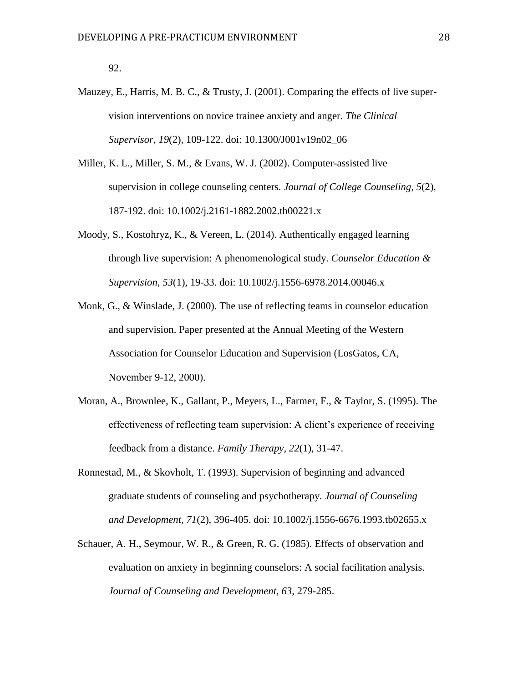92.

- Mauzey, E., Harris, M. B. C., & Trusty, J. (2001). Comparing the effects of live supervision interventions on novice trainee anxiety and anger. *The Clinical Supervisor, 19*(2), 109-122. [doi: 10.1300/J001v19n02\\_06](https://doi.org/10.1300/J001v19n02_06)
- Miller, K. L., Miller, S. M., & Evans, W. J. (2002). Computer-assisted live supervision in college counseling centers. *Journal of College Counseling*, *5*(2), 187-192. [doi: 10.1002/j.2161-1882.2002.tb00221.x](https://doi.org/10.1002/j.2161-1882.2002.tb00221.x)
- Moody, S., Kostohryz, K., & Vereen, L. (2014). Authentically engaged learning through live supervision: A phenomenological study. *Counselor Education & Supervision, 53*(1), 19-33. [doi: 10.1002/j.1556-6978.2014.00046.x](https://doi.org/10.1002/j.1556-6978.2014.00046.x)
- Monk, G., & Winslade, J. (2000). The use of reflecting teams in counselor education and supervision. Paper presented at the Annual Meeting of the Western Association for Counselor Education and Supervision (LosGatos, CA, November 9-12, 2000).
- Moran, A., Brownlee, K., Gallant, P., Meyers, L., Farmer, F., & Taylor, S. (1995). The effectiveness of reflecting team supervision: A client's experience of receiving feedback from a distance. *Family Therapy*, *22*(1), 31-47.
- Ronnestad, M., & Skovholt, T. (1993). Supervision of beginning and advanced graduate students of counseling and psychotherapy. *Journal of Counseling and Development, 71*(2), 396-405. [doi: 10.1002/j.1556-6676.1993.tb02655.x](https://doi.org/10.1002/j.1556-6676.1993.tb02655.x)
- Schauer, A. H., Seymour, W. R., & Green, R. G. (1985). Effects of observation and evaluation on anxiety in beginning counselors: A social facilitation analysis. *Journal of Counseling and Development, 63*, 279-285.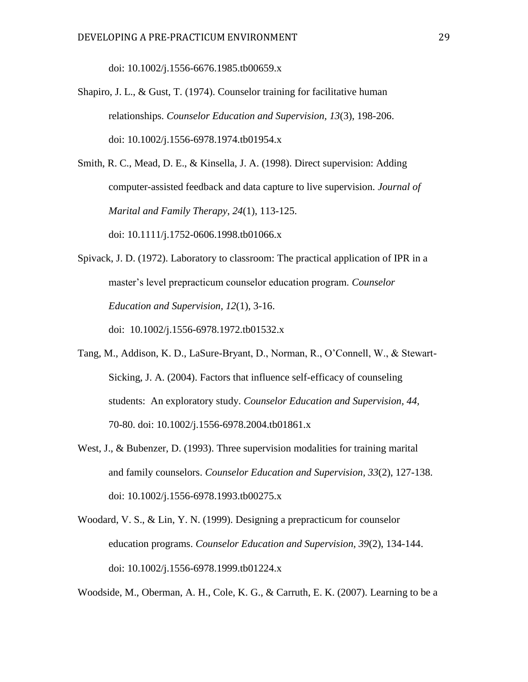[doi: 10.1002/j.1556-6676.1985.tb00659.x](https://doi.org/10.1002/j.1556-6676.1985.tb00659.x)

Shapiro, J. L., & Gust, T. (1974). Counselor training for facilitative human relationships. *Counselor Education and Supervision, 13*(3), 198-206. [doi: 10.1002/j.1556-6978.1974.tb01954.x](https://doi.org/10.1002/j.1556-6978.1974.tb01954.x)

Smith, R. C., Mead, D. E., & Kinsella, J. A. (1998). Direct supervision: Adding computer-assisted feedback and data capture to live supervision. *Journal of Marital and Family Therapy*, *24*(1), 113-125.

[doi: 10.1111/j.1752-0606.1998.tb01066.x](https://doi.org/10.1111/j.1752-0606.1998.tb01066.x)

- Spivack, J. D. (1972). Laboratory to classroom: The practical application of IPR in a master's level prepracticum counselor education program. *Counselor Education and Supervision, 12*(1), 3-16. doi: 10.1002/j.1556-6978.1972.tb01532.x
- Tang, M., Addison, K. D., LaSure-Bryant, D., Norman, R., O'Connell, W., & Stewart-Sicking, J. A. (2004). Factors that influence self-efficacy of counseling students: An exploratory study. *Counselor Education and Supervision, 44,* 70-80. doi: 10.1002/j.1556-6978.2004.tb01861.x
- West, J., & Bubenzer, D. (1993). Three supervision modalities for training marital and family counselors. *Counselor Education and Supervision, 33*(2), 127-138. [doi: 10.1002/j.1556-6978.1993.tb00275.x](https://doi.org/10.1002/j.1556-6978.1993.tb00275.x)
- Woodard, V. S., & Lin, Y. N. (1999). Designing a prepracticum for counselor education programs. *Counselor Education and Supervision, 39*(2), 134-144. [doi: 10.1002/j.1556-6978.1999.tb01224.x](https://doi.org/10.1002/j.1556-6978.1999.tb01224.x)

Woodside, M., Oberman, A. H., Cole, K. G., & Carruth, E. K. (2007). Learning to be a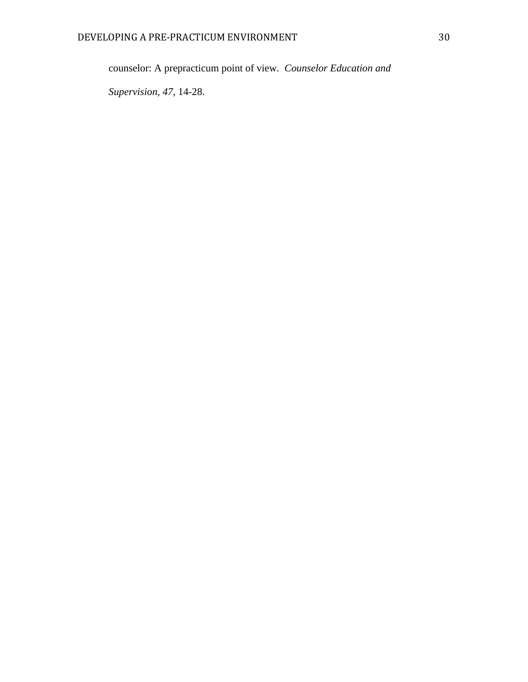counselor: A prepracticum point of view. *Counselor Education and* 

*Supervision, 47*, 14-28.